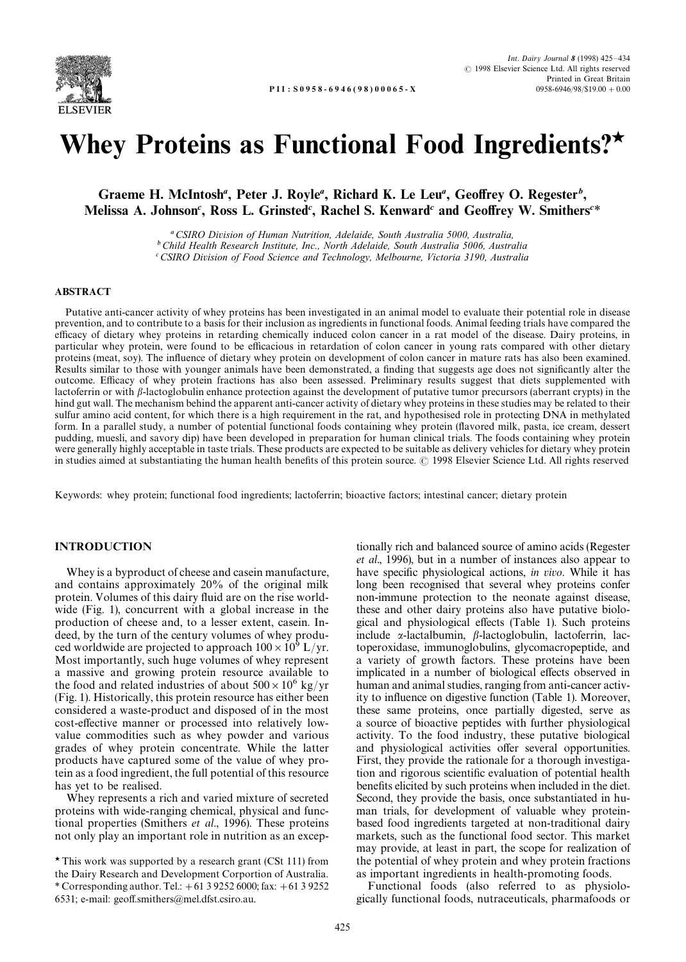

# Whey Proteins as Functional Food Ingredients? $\star$

Graeme H. McIntosh<sup>a</sup>, Peter J. Royle<sup>a</sup>, Richard K. Le Leu<sup>a</sup>, Geoffrey O. Regester<sup>b</sup>, Melissa A. Johnson<sup>c</sup>, Ross L. Grinsted<sup>c</sup>, Rachel S. Kenward<sup>c</sup> and Geoffrey W. Smithers<sup>c\*</sup>

> a*CSIRO Division of Human Nutrition, Adelaide, South Australia 5000, Australia,* b*Child Health Research Institute, Inc., North Adelaide, South Australia 5006, Australia* c*CSIRO Division of Food Science and Technology, Melbourne, Victoria 3190, Australia*

#### ABSTRACT

Putative anti-cancer activity of whey proteins has been investigated in an animal model to evaluate their potential role in disease prevention, and to contribute to a basis for their inclusion as ingredients in functional foods. Animal feeding trials have compared the efficacy of dietary whey proteins in retarding chemically induced colon cancer in a rat model of the disease. Dairy proteins, in particular whey protein, were found to be efficacious in retardation of colon cancer in young rats compared with other dietary proteins (meat, soy). The influence of dietary whey protein on development of colon cancer in mature rats has also been examined. Results similar to those with younger animals have been demonstrated, a finding that suggests age does not significantly alter the outcome. Efficacy of whey protein fractions has also been assessed. Preliminary results suggest that diets supplemented with lactoferrin or with  $\beta$ -lactoglobulin enhance protection against the development of putative tumor precursors (aberrant crypts) in the hind gut wall. The mechanism behind the apparent anti-cancer activity of dietary whey proteins in these studies may be related to their sulfur amino acid content, for which there is a high requirement in the rat, and hypothesised role in protecting DNA in methylated form. In a parallel study, a number of potential functional foods containing whey protein (flavored milk, pasta, ice cream, dessert pudding, muesli, and savory dip) have been developed in preparation for human clinical trials. The foods containing whey protein were generally highly acceptable in taste trials. These products are expected to be suitable as delivery vehicles for dietary whey protein in studies aimed at substantiating the human health benefits of this protein source. © 1998 Elsevier Science Ltd. All rights reserved

Keywords: whey protein; functional food ingredients; lactoferrin; bioactive factors; intestinal cancer; dietary protein

# INTRODUCTION

Whey is a byproduct of cheese and casein manufacture, and contains approximately 20% of the original milk protein. Volumes of this dairy fluid are on the rise worldwide (Fig. 1), concurrent with a global increase in the production of cheese and, to a lesser extent, casein. Indeed, by the turn of the century volumes of whey produced worldwide are projected to approach  $100 \times 10^9$  L/yr. Most importantly, such huge volumes of whey represent a massive and growing protein resource available to the food and related industries of about  $500 \times 10^6$  kg/yr (Fig. 1). Historically, this protein resource has either been considered a waste-product and disposed of in the most cost-effective manner or processed into relatively lowvalue commodities such as whey powder and various grades of whey protein concentrate. While the latter products have captured some of the value of whey protein as a food ingredient, the full potential of this resource has yet to be realised.

Whey represents a rich and varied mixture of secreted proteins with wide-ranging chemical, physical and functional properties (Smithers *et al*., 1996). These proteins not only play an important role in nutrition as an excep-

 $\star$  This work was supported by a research grant (CSt 111) from the Dairy Research and Development Corportion of Australia. *\** Corresponding author. Tel.: +61 3 9252 6000; fax: +61 3 9252 6531; e-mail: geoff.smithers@mel.dfst.csiro.au.

tionally rich and balanced source of amino acids (Regester *et al*., 1996), but in a number of instances also appear to have specific physiological actions, *in vivo*. While it has long been recognised that several whey proteins confer non-immune protection to the neonate against disease, these and other dairy proteins also have putative biological and physiological effects (Table 1). Such proteins include  $\alpha$ -lactalbumin,  $\beta$ -lactoglobulin, lactoferrin, lactoperoxidase, immunoglobulins, glycomacropeptide, and a variety of growth factors. These proteins have been implicated in a number of biological effects observed in human and animal studies, ranging from anti-cancer activity to influence on digestive function (Table 1). Moreover, these same proteins, once partially digested, serve as a source of bioactive peptides with further physiological activity. To the food industry, these putative biological and physiological activities offer several opportunities. First, they provide the rationale for a thorough investigation and rigorous scientific evaluation of potential health benefits elicited by such proteins when included in the diet. Second, they provide the basis, once substantiated in human trials, for development of valuable whey proteinbased food ingredients targeted at non-traditional dairy markets, such as the functional food sector. This market may provide, at least in part, the scope for realization of the potential of whey protein and whey protein fractions as important ingredients in health-promoting foods.

Functional foods (also referred to as physiologically functional foods, nutraceuticals, pharmafoods or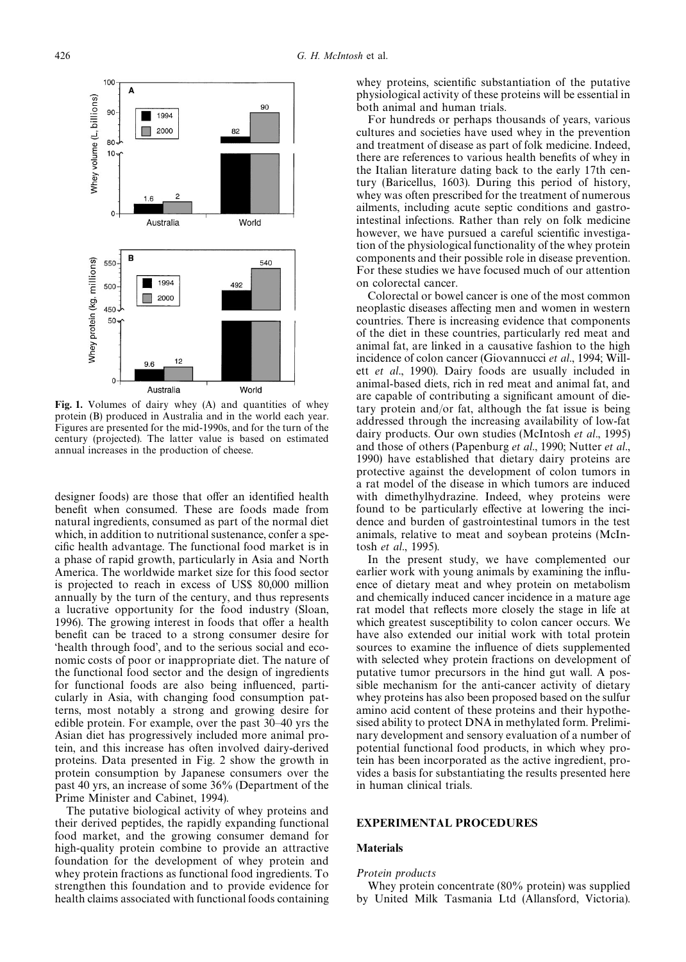

Fig. 1. Volumes of dairy whey (A) and quantities of whey protein (B) produced in Australia and in the world each year. Figures are presented for the mid-1990s, and for the turn of the century (projected). The latter value is based on estimated annual increases in the production of cheese.

designer foods) are those that offer an identified health benefit when consumed. These are foods made from natural ingredients, consumed as part of the normal diet which, in addition to nutritional sustenance, confer a specific health advantage. The functional food market is in a phase of rapid growth, particularly in Asia and North America. The worldwide market size for this food sector is projected to reach in excess of US\$ 80,000 million annually by the turn of the century, and thus represents a lucrative opportunity for the food industry (Sloan, 1996). The growing interest in foods that offer a health benefit can be traced to a strong consumer desire for 'health through food', and to the serious social and economic costs of poor or inappropriate diet. The nature of the functional food sector and the design of ingredients for functional foods are also being influenced, particularly in Asia, with changing food consumption patterns, most notably a strong and growing desire for edible protein. For example, over the past 30*—*40 yrs the Asian diet has progressively included more animal protein, and this increase has often involved dairy-derived proteins. Data presented in Fig. 2 show the growth in protein consumption by Japanese consumers over the past 40 yrs, an increase of some 36% (Department of the Prime Minister and Cabinet, 1994).

The putative biological activity of whey proteins and their derived peptides, the rapidly expanding functional food market, and the growing consumer demand for high-quality protein combine to provide an attractive foundation for the development of whey protein and whey protein fractions as functional food ingredients. To strengthen this foundation and to provide evidence for health claims associated with functional foods containing whey proteins, scientific substantiation of the putative physiological activity of these proteins will be essential in both animal and human trials.

For hundreds or perhaps thousands of years, various cultures and societies have used whey in the prevention and treatment of disease as part of folk medicine. Indeed, there are references to various health benefits of whey in the Italian literature dating back to the early 17th century (Baricellus, 1603). During this period of history, whey was often prescribed for the treatment of numerous ailments, including acute septic conditions and gastrointestinal infections. Rather than rely on folk medicine however, we have pursued a careful scientific investigation of the physiological functionality of the whey protein components and their possible role in disease prevention. For these studies we have focused much of our attention on colorectal cancer.

Colorectal or bowel cancer is one of the most common neoplastic diseases affecting men and women in western countries. There is increasing evidence that components of the diet in these countries, particularly red meat and animal fat, are linked in a causative fashion to the high incidence of colon cancer (Giovannucci *et al*., 1994; Willett *et al*., 1990). Dairy foods are usually included in animal-based diets, rich in red meat and animal fat, and are capable of contributing a significant amount of dietary protein and/or fat, although the fat issue is being addressed through the increasing availability of low-fat dairy products. Our own studies (McIntosh *et al*., 1995) and those of others (Papenburg *et al*., 1990; Nutter *et al*., 1990) have established that dietary dairy proteins are protective against the development of colon tumors in a rat model of the disease in which tumors are induced with dimethylhydrazine. Indeed, whey proteins were found to be particularly effective at lowering the incidence and burden of gastrointestinal tumors in the test animals, relative to meat and soybean proteins (McIntosh *et al*., 1995).

In the present study, we have complemented our earlier work with young animals by examining the influence of dietary meat and whey protein on metabolism and chemically induced cancer incidence in a mature age rat model that reflects more closely the stage in life at which greatest susceptibility to colon cancer occurs. We have also extended our initial work with total protein sources to examine the influence of diets supplemented with selected whey protein fractions on development of putative tumor precursors in the hind gut wall. A possible mechanism for the anti-cancer activity of dietary whey proteins has also been proposed based on the sulfur amino acid content of these proteins and their hypothesised ability to protect DNA in methylated form. Preliminary development and sensory evaluation of a number of potential functional food products, in which whey protein has been incorporated as the active ingredient, provides a basis for substantiating the results presented here in human clinical trials.

## EXPERIMENTAL PROCEDURES

# Materials

# *Protein products*

Whey protein concentrate (80% protein) was supplied by United Milk Tasmania Ltd (Allansford, Victoria).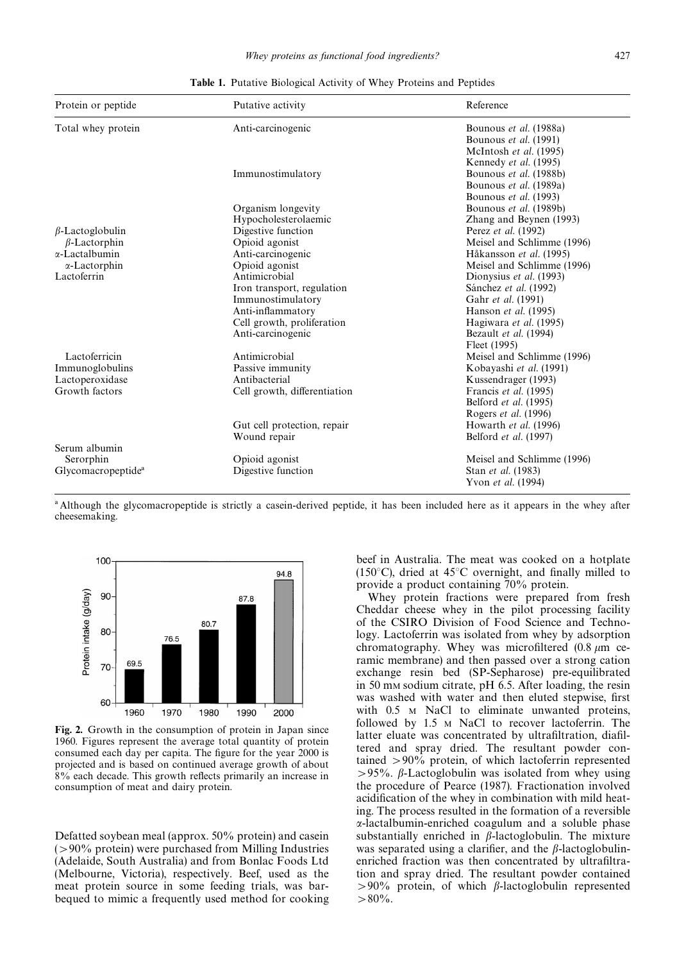| Protein or peptide                            | Putative activity                                                    | Reference                                                                               |  |  |  |
|-----------------------------------------------|----------------------------------------------------------------------|-----------------------------------------------------------------------------------------|--|--|--|
| Total whey protein                            | Anti-carcinogenic                                                    | Bounous et al. (1988a)<br>Bounous et al. (1991)<br>McIntosh et al. (1995)               |  |  |  |
|                                               | Immunostimulatory                                                    | Kennedy et al. (1995)<br>Bounous et al. (1988b)<br>Bounous et al. (1989a)               |  |  |  |
|                                               | Organism longevity<br>Hypocholesterolaemic                           | Bounous et al. (1993)<br>Bounous et al. (1989b)<br>Zhang and Beynen (1993)              |  |  |  |
| $\beta$ -Lactoglobulin<br>$\beta$ -Lactorphin | Digestive function<br>Opioid agonist                                 | Perez et al. (1992)<br>Meisel and Schlimme (1996)                                       |  |  |  |
| $\alpha$ -Lactalbumin<br>$\alpha$ -Lactorphin | Anti-carcinogenic<br>Opioid agonist                                  | Håkansson et al. (1995)<br>Meisel and Schlimme (1996)                                   |  |  |  |
| Lactoferrin                                   | Antimicrobial<br>Iron transport, regulation<br>Immunostimulatory     | Dionysius et al. (1993)<br>Sánchez et al. (1992)<br>Gahr et al. (1991)                  |  |  |  |
|                                               | Anti-inflammatory<br>Cell growth, proliferation<br>Anti-carcinogenic | Hanson et al. (1995)<br>Hagiwara et al. (1995)<br>Bezault et al. (1994)<br>Fleet (1995) |  |  |  |
| Lactoferricin<br>Immunoglobulins              | Antimicrobial<br>Passive immunity                                    | Meisel and Schlimme (1996)<br>Kobayashi et al. (1991)                                   |  |  |  |
| Lactoperoxidase<br>Growth factors             | Antibacterial<br>Cell growth, differentiation                        | Kussendrager (1993)<br>Francis et al. (1995)                                            |  |  |  |
|                                               |                                                                      | Belford et al. (1995)<br>Rogers <i>et al.</i> (1996)                                    |  |  |  |
| Serum albumin                                 | Gut cell protection, repair<br>Wound repair                          | Howarth et al. (1996)<br>Belford et al. (1997)                                          |  |  |  |
| Serorphin<br>Glycomacropeptide <sup>a</sup>   | Opioid agonist<br>Digestive function                                 | Meisel and Schlimme (1996)<br>Stan <i>et al.</i> (1983)<br>Yvon et al. (1994)           |  |  |  |

Table 1. Putative Biological Activity of Whey Proteins and Peptides

<sup>a</sup> Although the glycomacropeptide is strictly a casein-derived peptide, it has been included here as it appears in the whey after cheesemaking.



Fig. 2. Growth in the consumption of protein in Japan since 1960. Figures represent the average total quantity of protein consumed each day per capita. The figure for the year 2000 is projected and is based on continued average growth of about 8% each decade. This growth reflects primarily an increase in consumption of meat and dairy protein.

Defatted soybean meal (approx. 50% protein) and casein  $(>90\%$  protein) were purchased from Milling Industries (Adelaide, South Australia) and from Bonlac Foods Ltd (Melbourne, Victoria), respectively. Beef, used as the meat protein source in some feeding trials, was barbequed to mimic a frequently used method for cooking beef in Australia. The meat was cooked on a hotplate (150*°*C), dried at 45*°*C overnight, and finally milled to provide a product containing 70% protein.

Whey protein fractions were prepared from fresh Cheddar cheese whey in the pilot processing facility of the CSIRO Division of Food Science and Technology. Lactoferrin was isolated from whey by adsorption chromatography. Whey was microfiltered  $(0.8 \mu m$  ceramic membrane) and then passed over a strong cation exchange resin bed (SP-Sepharose) pre-equilibrated in 50 mM sodium citrate, pH 6.5. After loading, the resin was washed with water and then eluted stepwise, first with  $0.5$  M NaCl to eliminate unwanted proteins, followed by 1.5 <sup>M</sup> NaCl to recover lactoferrin. The latter eluate was concentrated by ultrafiltration, diafiltered and spray dried. The resultant powder contained  $>90\%$  protein, of which lactoferrin represented  $> 95\%$ .  $\beta$ -Lactoglobulin was isolated from whey using the procedure of Pearce (1987). Fractionation involved acidification of the whey in combination with mild heating. The process resulted in the formation of a reversible a-lactalbumin-enriched coagulum and a soluble phase substantially enriched in  $\beta$ -lactoglobulin. The mixture was separated using a clarifier, and the  $\beta$ -lactoglobulinenriched fraction was then concentrated by ultrafiltration and spray dried. The resultant powder contained  $>90\%$  protein, of which  $\beta$ -lactoglobulin represented  $>80\%$ .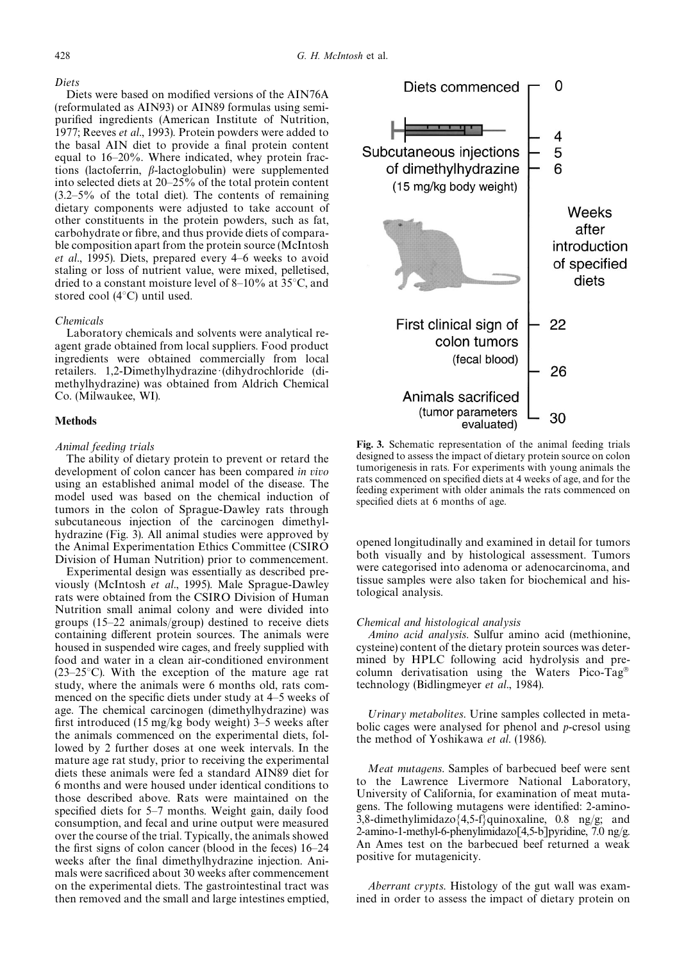# *Diets*

Diets were based on modified versions of the AIN76A (reformulated as AIN93) or AIN89 formulas using semipurified ingredients (American Institute of Nutrition, 1977; Reeves *et al*., 1993). Protein powders were added to the basal AIN diet to provide a final protein content equal to 16*—*20%. Where indicated, whey protein fractions (lactoferrin,  $\beta$ -lactoglobulin) were supplemented into selected diets at 20*—*25% of the total protein content (3.2*—*5% of the total diet). The contents of remaining dietary components were adjusted to take account of other constituents in the protein powders, such as fat, carbohydrate or fibre, and thus provide diets of comparable composition apart from the protein source (McIntosh *et al*., 1995). Diets, prepared every 4*—*6 weeks to avoid staling or loss of nutrient value, were mixed, pelletised, dried to a constant moisture level of 8*—*10% at 35*°*C, and stored cool (4*°*C) until used.

# *Chemicals*

Laboratory chemicals and solvents were analytical reagent grade obtained from local suppliers. Food product ingredients were obtained commercially from local retailers. 1,2-Dimethylhydrazine (dihydrochloride (dimethylhydrazine) was obtained from Aldrich Chemical Co. (Milwaukee, WI).

# **Methods**

#### *Animal feeding trials*

The ability of dietary protein to prevent or retard the development of colon cancer has been compared *in vivo* using an established animal model of the disease. The model used was based on the chemical induction of tumors in the colon of Sprague-Dawley rats through subcutaneous injection of the carcinogen dimethylhydrazine (Fig. 3). All animal studies were approved by the Animal Experimentation Ethics Committee (CSIRO Division of Human Nutrition) prior to commencement.

Experimental design was essentially as described previously (McIntosh *et al*., 1995). Male Sprague-Dawley rats were obtained from the CSIRO Division of Human Nutrition small animal colony and were divided into groups (15*—*22 animals/group) destined to receive diets containing different protein sources. The animals were housed in suspended wire cages, and freely supplied with food and water in a clean air-conditioned environment (23*—*25*°*C). With the exception of the mature age rat study, where the animals were 6 months old, rats commenced on the specific diets under study at 4*—*5 weeks of age. The chemical carcinogen (dimethylhydrazine) was first introduced (15 mg/kg body weight) 3*—*5 weeks after the animals commenced on the experimental diets, followed by 2 further doses at one week intervals. In the mature age rat study, prior to receiving the experimental diets these animals were fed a standard AIN89 diet for 6 months and were housed under identical conditions to those described above. Rats were maintained on the specified diets for 5*—*7 months. Weight gain, daily food consumption, and fecal and urine output were measured over the course of the trial. Typically, the animals showed the first signs of colon cancer (blood in the feces) 16*—*24 weeks after the final dimethylhydrazine injection. Animals were sacrificed about 30 weeks after commencement on the experimental diets. The gastrointestinal tract was then removed and the small and large intestines emptied,



Fig. 3. Schematic representation of the animal feeding trials designed to assess the impact of dietary protein source on colon tumorigenesis in rats. For experiments with young animals the rats commenced on specified diets at 4 weeks of age, and for the feeding experiment with older animals the rats commenced on specified diets at 6 months of age.

opened longitudinally and examined in detail for tumors both visually and by histological assessment. Tumors were categorised into adenoma or adenocarcinoma, and tissue samples were also taken for biochemical and histological analysis.

#### *Chemical and histological analysis*

*Amino acid analysis*. Sulfur amino acid (methionine, cysteine) content of the dietary protein sources was determined by HPLC following acid hydrolysis and precolumn derivatisation using the Waters Pico-Tag technology (Bidlingmeyer *et al*., 1984).

Urinary metabolites. Urine samples collected in metabolic cages were analysed for phenol and *p*-cresol using the method of Yoshikawa *et al*. (1986).

*Meat mutagens*. Samples of barbecued beef were sent to the Lawrence Livermore National Laboratory, University of California, for examination of meat mutagens. The following mutagens were identified: 2-amino-3,8-dimethylimidazo $\{4,5-f\}$ quinoxaline, 0.8 ng/g; and 2-amino-1-methyl-6-phenylimidazo[4,5-b]pyridine, 7.0 ng/g. An Ames test on the barbecued beef returned a weak positive for mutagenicity.

*Aberrant crypts*. Histology of the gut wall was examined in order to assess the impact of dietary protein on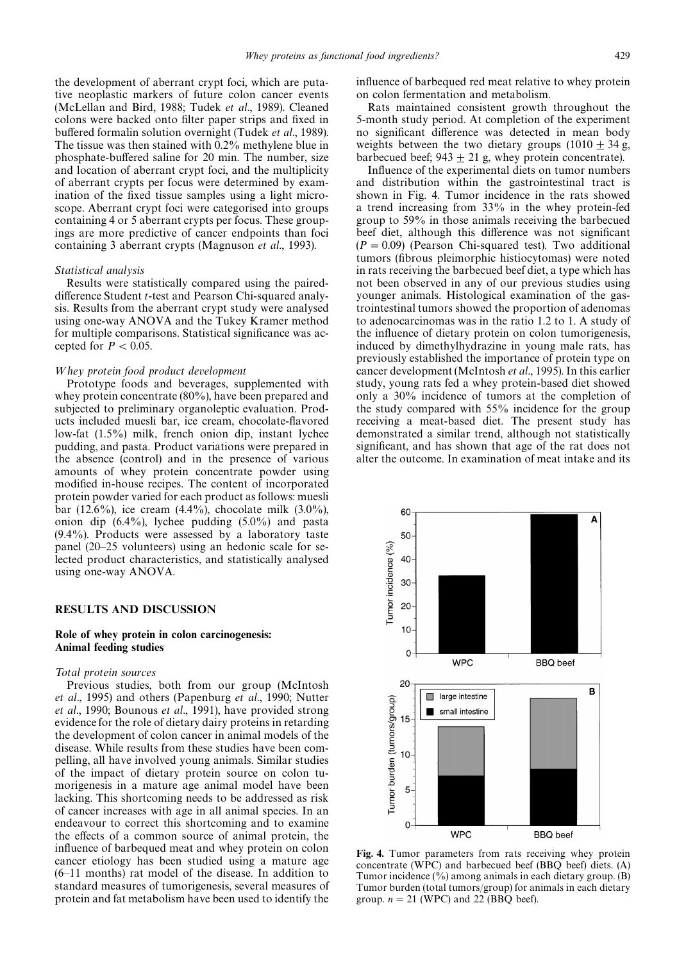the development of aberrant crypt foci, which are putative neoplastic markers of future colon cancer events (McLellan and Bird, 1988; Tudek *et al*., 1989). Cleaned colons were backed onto filter paper strips and fixed in buffered formalin solution overnight (Tudek *et al*., 1989). The tissue was then stained with 0.2% methylene blue in phosphate-buffered saline for 20 min. The number, size and location of aberrant crypt foci, and the multiplicity of aberrant crypts per focus were determined by examination of the fixed tissue samples using a light microscope. Aberrant crypt foci were categorised into groups containing 4 or 5 aberrant crypts per focus. These groupings are more predictive of cancer endpoints than foci containing 3 aberrant crypts (Magnuson *et al*., 1993).

#### *Statistical analysis*

Results were statistically compared using the paireddifference Student *t*-test and Pearson Chi-squared analysis. Results from the aberrant crypt study were analysed using one-way ANOVA and the Tukey Kramer method for multiple comparisons. Statistical significance was accepted for  $P < 0.05$ .

#### ¼*hey protein food product development*

Prototype foods and beverages, supplemented with whey protein concentrate (80%), have been prepared and subjected to preliminary organoleptic evaluation. Products included muesli bar, ice cream, chocolate-flavored low-fat (1.5%) milk, french onion dip, instant lychee pudding, and pasta. Product variations were prepared in the absence (control) and in the presence of various amounts of whey protein concentrate powder using modified in-house recipes. The content of incorporated protein powder varied for each product as follows: muesli bar (12.6%), ice cream (4.4%), chocolate milk (3.0%), onion dip (6.4%), lychee pudding (5.0%) and pasta (9.4%). Products were assessed by a laboratory taste panel (20*—*25 volunteers) using an hedonic scale for selected product characteristics, and statistically analysed using one-way ANOVA.

#### RESULTS AND DISCUSSION

## Role of whey protein in colon carcinogenesis: Animal feeding studies

## ¹*otal protein sources*

Previous studies, both from our group (McIntosh *et al*., 1995) and others (Papenburg *et al*., 1990; Nutter *et al*., 1990; Bounous *et al*., 1991), have provided strong evidence for the role of dietary dairy proteins in retarding the development of colon cancer in animal models of the disease. While results from these studies have been compelling, all have involved young animals. Similar studies of the impact of dietary protein source on colon tumorigenesis in a mature age animal model have been lacking. This shortcoming needs to be addressed as risk of cancer increases with age in all animal species. In an endeavour to correct this shortcoming and to examine the effects of a common source of animal protein, the influence of barbequed meat and whey protein on colon cancer etiology has been studied using a mature age (6*—*11 months) rat model of the disease. In addition to standard measures of tumorigenesis, several measures of protein and fat metabolism have been used to identify the influence of barbequed red meat relative to whey protein on colon fermentation and metabolism.

Rats maintained consistent growth throughout the 5-month study period. At completion of the experiment no significant difference was detected in mean body weights between the two dietary groups  $(1010 \pm 34$  g, barbecued beef;  $943 \pm 21$  g, whey protein concentrate).

Influence of the experimental diets on tumor numbers and distribution within the gastrointestinal tract is shown in Fig. 4. Tumor incidence in the rats showed a trend increasing from 33% in the whey protein-fed group to 59% in those animals receiving the barbecued beef diet, although this difference was not significant  $(P = 0.09)$  (Pearson Chi-squared test). Two additional tumors (fibrous pleimorphic histiocytomas) were noted in rats receiving the barbecued beef diet, a type which has not been observed in any of our previous studies using younger animals. Histological examination of the gastrointestinal tumors showed the proportion of adenomas to adenocarcinomas was in the ratio 1.2 to 1. A study of the influence of dietary protein on colon tumorigenesis, induced by dimethylhydrazine in young male rats, has previously established the importance of protein type on cancer development (McIntosh *et al*., 1995). In this earlier study, young rats fed a whey protein-based diet showed only a 30% incidence of tumors at the completion of the study compared with 55% incidence for the group receiving a meat-based diet. The present study has demonstrated a similar trend, although not statistically significant, and has shown that age of the rat does not alter the outcome. In examination of meat intake and its



Fig. 4. Tumor parameters from rats receiving whey protein concentrate (WPC) and barbecued beef (BBQ beef) diets. (A) Tumor incidence (%) among animals in each dietary group. (B) Tumor burden (total tumors/group) for animals in each dietary group.  $n = 21$  (WPC) and 22 (BBQ beef).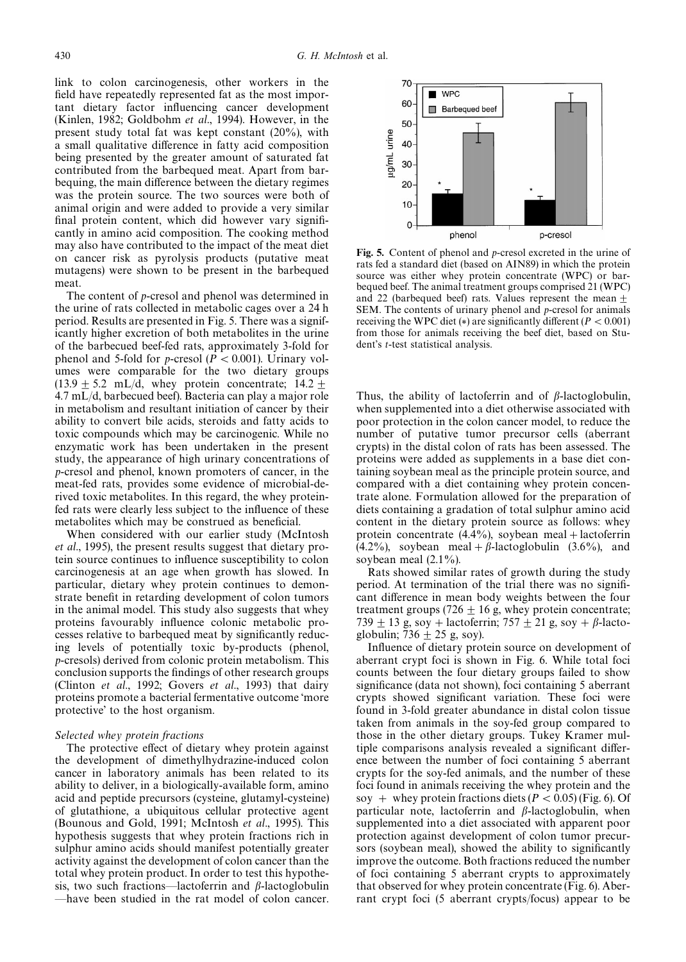link to colon carcinogenesis, other workers in the field have repeatedly represented fat as the most important dietary factor influencing cancer development (Kinlen, 1982; Goldbohm *et al*., 1994). However, in the present study total fat was kept constant (20%), with a small qualitative difference in fatty acid composition being presented by the greater amount of saturated fat contributed from the barbequed meat. Apart from barbequing, the main difference between the dietary regimes was the protein source. The two sources were both of animal origin and were added to provide a very similar final protein content, which did however vary significantly in amino acid composition. The cooking method may also have contributed to the impact of the meat diet on cancer risk as pyrolysis products (putative meat mutagens) were shown to be present in the barbequed meat.

The content of *p*-cresol and phenol was determined in the urine of rats collected in metabolic cages over a 24 h period. Results are presented in Fig. 5. There was a significantly higher excretion of both metabolites in the urine of the barbecued beef-fed rats, approximately 3-fold for phenol and 5-fold for *p*-cresol ( $P < 0.001$ ). Urinary volumes were comparable for the two dietary groups  $(13.9 \pm 5.2 \text{ mL/d}, \text{whey protein concentrate}; 14.2 \pm \text{mL/d})$ 4.7 mL/d, barbecued beef). Bacteria can play a major role in metabolism and resultant initiation of cancer by their ability to convert bile acids, steroids and fatty acids to toxic compounds which may be carcinogenic. While no enzymatic work has been undertaken in the present study, the appearance of high urinary concentrations of *p*-cresol and phenol, known promoters of cancer, in the meat-fed rats, provides some evidence of microbial-derived toxic metabolites. In this regard, the whey proteinfed rats were clearly less subject to the influence of these metabolites which may be construed as beneficial.

When considered with our earlier study (McIntosh *et al*., 1995), the present results suggest that dietary protein source continues to influence susceptibility to colon carcinogenesis at an age when growth has slowed. In particular, dietary whey protein continues to demonstrate benefit in retarding development of colon tumors in the animal model. This study also suggests that whey proteins favourably influence colonic metabolic processes relative to barbequed meat by significantly reducing levels of potentially toxic by-products (phenol, *p*-cresols) derived from colonic protein metabolism. This conclusion supports the findings of other research groups (Clinton *et al*., 1992; Govers *et al*., 1993) that dairy proteins promote a bacterial fermentative outcome 'more protective' to the host organism.

#### *Selected whey protein fractions*

The protective effect of dietary whey protein against the development of dimethylhydrazine-induced colon cancer in laboratory animals has been related to its ability to deliver, in a biologically-available form, amino acid and peptide precursors (cysteine, glutamyl-cysteine) of glutathione, a ubiquitous cellular protective agent (Bounous and Gold, 1991; McIntosh *et al*., 1995). This hypothesis suggests that whey protein fractions rich in sulphur amino acids should manifest potentially greater activity against the development of colon cancer than the total whey protein product. In order to test this hypothesis, two such fractions—lactoferrin and  $\beta$ -lactoglobulin —have been studied in the rat model of colon cancer.



Fig. 5. Content of phenol and *p*-cresol excreted in the urine of rats fed a standard diet (based on AIN89) in which the protein source was either whey protein concentrate (WPC) or barbequed beef. The animal treatment groups comprised 21 (WPC) and 22 (barbequed beef) rats. Values represent the mean  $\pm$ SEM. The contents of urinary phenol and *p*-cresol for animals receiving the WPC diet ( $*$ ) are significantly different ( $P < 0.001$ ) from those for animals receiving the beef diet, based on Student's *t*-test statistical analysis.

Thus, the ability of lactoferrin and of  $\beta$ -lactoglobulin, when supplemented into a diet otherwise associated with poor protection in the colon cancer model, to reduce the number of putative tumor precursor cells (aberrant crypts) in the distal colon of rats has been assessed. The proteins were added as supplements in a base diet containing soybean meal as the principle protein source, and compared with a diet containing whey protein concentrate alone. Formulation allowed for the preparation of diets containing a gradation of total sulphur amino acid content in the dietary protein source as follows: whey protein concentrate  $(4.4\%)$ , soybean meal + lactoferrin (4.2%), soybean meal +  $\beta$ -lactoglobulin (3.6%), and soybean meal (2.1%).

Rats showed similar rates of growth during the study period. At termination of the trial there was no significant difference in mean body weights between the four treatment groups (726  $\pm$  16 g, whey protein concentrate; 739  $\pm$  13 g, soy + lactoferrin; 757  $\pm$  21 g, soy +  $\beta$ -lactoglobulin;  $736 \pm 25$  g, soy).

Influence of dietary protein source on development of aberrant crypt foci is shown in Fig. 6. While total foci counts between the four dietary groups failed to show significance (data not shown), foci containing 5 aberrant crypts showed significant variation. These foci were found in 3-fold greater abundance in distal colon tissue taken from animals in the soy-fed group compared to those in the other dietary groups. Tukey Kramer multiple comparisons analysis revealed a significant difference between the number of foci containing 5 aberrant crypts for the soy-fed animals, and the number of these foci found in animals receiving the whey protein and the soy + whey protein fractions diets ( $P < 0.05$ ) (Fig. 6). Of particular note, lactoferrin and  $\beta$ -lactoglobulin, when supplemented into a diet associated with apparent poor protection against development of colon tumor precursors (soybean meal), showed the ability to significantly improve the outcome. Both fractions reduced the number of foci containing 5 aberrant crypts to approximately that observed for whey protein concentrate (Fig. 6). Aberrant crypt foci (5 aberrant crypts/focus) appear to be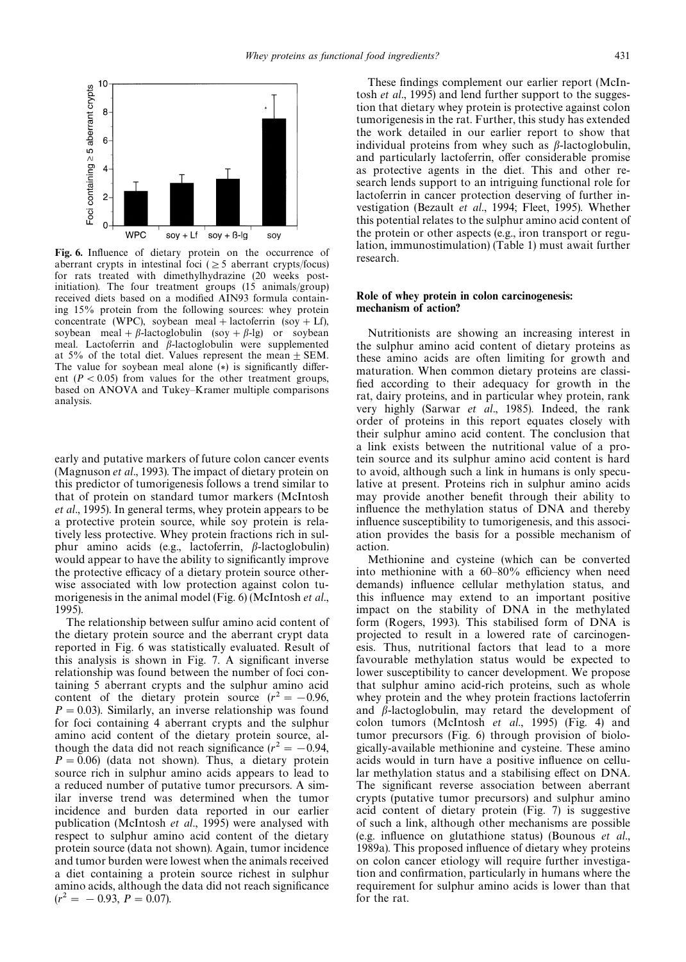

Fig. 6. Influence of dietary protein on the occurrence of aberrant crypts in intestinal foci ( $\geq$  5 aberrant crypts/focus) for rats treated with dimethylhydrazine (20 weeks postinitiation). The four treatment groups (15 animals/group) received diets based on a modified AIN93 formula containing 15% protein from the following sources: whey protein concentrate (WPC), soybean meal + lactoferrin (soy + Lf), soybean meal +  $\beta$ -lactoglobulin (soy +  $\beta$ -lg) or soybean meal. Lactoferrin and  $\beta$ -lactoglobulin were supplemented at 5% of the total diet. Values represent the mean  $\pm$  SEM. The value for soybean meal alone (*\**) is significantly different  $(P < 0.05)$  from values for the other treatment groups, based on ANOVA and Tukey*—*Kramer multiple comparisons analysis.

early and putative markers of future colon cancer events (Magnuson *et al*., 1993). The impact of dietary protein on this predictor of tumorigenesis follows a trend similar to that of protein on standard tumor markers (McIntosh *et al*., 1995). In general terms, whey protein appears to be a protective protein source, while soy protein is relatively less protective. Whey protein fractions rich in sulphur amino acids (e.g., lactoferrin,  $\beta$ -lactoglobulin) would appear to have the ability to significantly improve the protective efficacy of a dietary protein source otherwise associated with low protection against colon tumorigenesis in the animal model (Fig. 6) (McIntosh *et al*., 1995).

The relationship between sulfur amino acid content of the dietary protein source and the aberrant crypt data reported in Fig. 6 was statistically evaluated. Result of this analysis is shown in Fig. 7. A significant inverse relationship was found between the number of foci containing 5 aberrant crypts and the sulphur amino acid content of the dietary protein source  $(r^2 = -0.96,$  $P = 0.03$ ). Similarly, an inverse relationship was found for foci containing 4 aberrant crypts and the sulphur amino acid content of the dietary protein source, although the data did not reach significance  $(r^2 = -0.94,$  $P = 0.06$ ) (data not shown). Thus, a dietary protein source rich in sulphur amino acids appears to lead to a reduced number of putative tumor precursors. A similar inverse trend was determined when the tumor incidence and burden data reported in our earlier publication (McIntosh *et al*., 1995) were analysed with respect to sulphur amino acid content of the dietary protein source (data not shown). Again, tumor incidence and tumor burden were lowest when the animals received a diet containing a protein source richest in sulphur amino acids, although the data did not reach significance  $(r^2 = -0.93, P = 0.07).$ 

These findings complement our earlier report (McIntosh *et al*., 1995) and lend further support to the suggestion that dietary whey protein is protective against colon tumorigenesis in the rat. Further, this study has extended the work detailed in our earlier report to show that individual proteins from whey such as  $\beta$ -lactoglobulin, and particularly lactoferrin, offer considerable promise as protective agents in the diet. This and other research lends support to an intriguing functional role for lactoferrin in cancer protection deserving of further investigation (Bezault *et al*., 1994; Fleet, 1995). Whether this potential relates to the sulphur amino acid content of the protein or other aspects (e.g., iron transport or regulation, immunostimulation) (Table 1) must await further research.

## Role of whey protein in colon carcinogenesis: mechanism of action?

Nutritionists are showing an increasing interest in the sulphur amino acid content of dietary proteins as these amino acids are often limiting for growth and maturation. When common dietary proteins are classified according to their adequacy for growth in the rat, dairy proteins, and in particular whey protein, rank very highly (Sarwar *et al*., 1985). Indeed, the rank order of proteins in this report equates closely with their sulphur amino acid content. The conclusion that a link exists between the nutritional value of a protein source and its sulphur amino acid content is hard to avoid, although such a link in humans is only speculative at present. Proteins rich in sulphur amino acids may provide another benefit through their ability to influence the methylation status of DNA and thereby influence susceptibility to tumorigenesis, and this association provides the basis for a possible mechanism of action.

Methionine and cysteine (which can be converted into methionine with a 60*—*80% efficiency when need demands) influence cellular methylation status, and this influence may extend to an important positive impact on the stability of DNA in the methylated form (Rogers, 1993). This stabilised form of DNA is projected to result in a lowered rate of carcinogenesis. Thus, nutritional factors that lead to a more favourable methylation status would be expected to lower susceptibility to cancer development. We propose that sulphur amino acid-rich proteins, such as whole whey protein and the whey protein fractions lactoferrin and  $\beta$ -lactoglobulin, may retard the development of colon tumors (McIntosh *et al*., 1995) (Fig. 4) and tumor precursors (Fig. 6) through provision of biologically-available methionine and cysteine. These amino acids would in turn have a positive influence on cellular methylation status and a stabilising effect on DNA. The significant reverse association between aberrant crypts (putative tumor precursors) and sulphur amino acid content of dietary protein (Fig. 7) is suggestive of such a link, although other mechanisms are possible (e.g. influence on glutathione status) (Bounous *et al*., 1989a). This proposed influence of dietary whey proteins on colon cancer etiology will require further investigation and confirmation, particularly in humans where the requirement for sulphur amino acids is lower than that for the rat.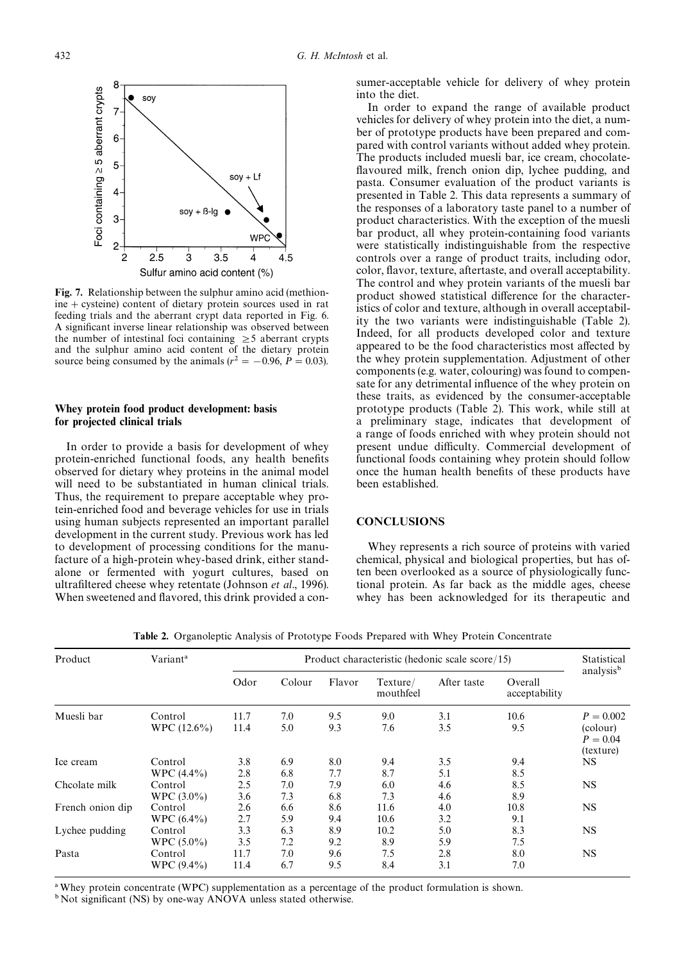

Fig. 7. Relationship between the sulphur amino acid (methion $ine + c$ ysteine) content of dietary protein sources used in rat feeding trials and the aberrant crypt data reported in Fig. 6. A significant inverse linear relationship was observed between the number of intestinal foci containing  $\geq 5$  aberrant crypts and the sulphur amino acid content of the dietary protein source being consumed by the animals ( $r^2 = -0.96$ ,  $P = 0.03$ ).

# Whey protein food product development: basis for projected clinical trials

In order to provide a basis for development of whey protein-enriched functional foods, any health benefits observed for dietary whey proteins in the animal model will need to be substantiated in human clinical trials. Thus, the requirement to prepare acceptable whey protein-enriched food and beverage vehicles for use in trials using human subjects represented an important parallel development in the current study. Previous work has led to development of processing conditions for the manufacture of a high-protein whey-based drink, either standalone or fermented with yogurt cultures, based on ultrafiltered cheese whey retentate (Johnson *et al*., 1996). When sweetened and flavored, this drink provided a consumer-acceptable vehicle for delivery of whey protein into the diet.

In order to expand the range of available product vehicles for delivery of whey protein into the diet, a number of prototype products have been prepared and compared with control variants without added whey protein. The products included muesli bar, ice cream, chocolateflavoured milk, french onion dip, lychee pudding, and pasta. Consumer evaluation of the product variants is presented in Table 2. This data represents a summary of the responses of a laboratory taste panel to a number of product characteristics. With the exception of the muesli bar product, all whey protein-containing food variants were statistically indistinguishable from the respective controls over a range of product traits, including odor, color, flavor, texture, aftertaste, and overall acceptability. The control and whey protein variants of the muesli bar product showed statistical difference for the characteristics of color and texture, although in overall acceptability the two variants were indistinguishable (Table 2). Indeed, for all products developed color and texture appeared to be the food characteristics most affected by the whey protein supplementation. Adjustment of other components (e.g. water, colouring) was found to compensate for any detrimental influence of the whey protein on these traits, as evidenced by the consumer-acceptable prototype products (Table 2). This work, while still at a preliminary stage, indicates that development of a range of foods enriched with whey protein should not present undue difficulty. Commercial development of functional foods containing whey protein should follow once the human health benefits of these products have been established.

# **CONCLUSIONS**

Whey represents a rich source of proteins with varied chemical, physical and biological properties, but has often been overlooked as a source of physiologically functional protein. As far back as the middle ages, cheese whey has been acknowledged for its therapeutic and

|  | Table 2. Organoleptic Analysis of Prototype Foods Prepared with Whey Protein Concentrate |  |  |  |  |  |  |  |
|--|------------------------------------------------------------------------------------------|--|--|--|--|--|--|--|
|--|------------------------------------------------------------------------------------------|--|--|--|--|--|--|--|

| Product          | Variant <sup>a</sup>                     | Product characteristic (hedonic scale score/15) |                   |                   |                       |                   |                          | Statistical                    |
|------------------|------------------------------------------|-------------------------------------------------|-------------------|-------------------|-----------------------|-------------------|--------------------------|--------------------------------|
|                  |                                          | Odor                                            | Colour            | Flavor            | Texture/<br>mouthfeel | After taste       | Overall<br>acceptability | analysis <sup>b</sup>          |
| Muesli bar       | Control<br>$WPC(12.6\%)$                 | 11.7<br>11.4                                    | 7.0<br>5.0        | 9.5<br>9.3        | 9.0<br>7.6            | 3.1<br>3.5        | 10.6<br>9.5              | $P = 0.002$<br>(colour)        |
| Ice cream        | Control                                  | 3.8                                             | 6.9               | 8.0               | 9.4                   | 3.5               | 9.4                      | $P = 0.04$<br>(texture)<br>NS. |
| Cheolate milk    | $WPC(4.4\%)$<br>Control<br>$WPC (3.0\%)$ | 2.8<br>2.5<br>3.6                               | 6.8<br>7.0<br>7.3 | 7.7<br>7.9<br>6.8 | 8.7<br>6.0<br>7.3     | 5.1<br>4.6<br>4.6 | 8.5<br>8.5<br>8.9        | <b>NS</b>                      |
| French onion dip | Control<br>$WPC (6.4\%)$                 | 2.6<br>2.7                                      | 6.6<br>5.9        | 8.6<br>9.4        | 11.6<br>10.6          | 4.0<br>3.2        | 10.8<br>9.1              | <b>NS</b>                      |
| Lychee pudding   | Control<br>$WPC (5.0\%)$                 | 3.3<br>3.5                                      | 6.3<br>7.2        | 8.9<br>9.2        | 10.2<br>8.9           | 5.0<br>5.9        | 8.3<br>7.5               | <b>NS</b>                      |
| Pasta            | Control<br>WPC (9.4%)                    | 11.7<br>11.4                                    | 7.0<br>6.7        | 9.6<br>9.5        | 7.5<br>8.4            | 2.8<br>3.1        | 8.0<br>7.0               | <b>NS</b>                      |

<sup>a</sup> Whey protein concentrate (WPC) supplementation as a percentage of the product formulation is shown.

<sup>b</sup> Not significant (NS) by one-way ANOVA unless stated otherwise.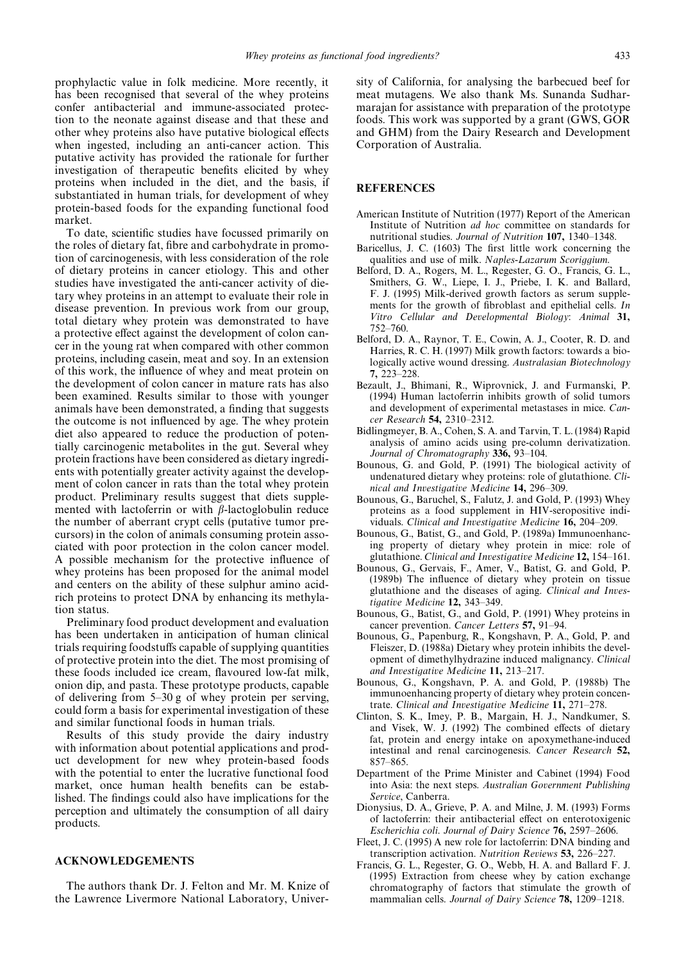prophylactic value in folk medicine. More recently, it has been recognised that several of the whey proteins confer antibacterial and immune-associated protection to the neonate against disease and that these and other whey proteins also have putative biological effects when ingested, including an anti-cancer action. This putative activity has provided the rationale for further investigation of therapeutic benefits elicited by whey proteins when included in the diet, and the basis, if substantiated in human trials, for development of whey protein-based foods for the expanding functional food market.

To date, scientific studies have focussed primarily on the roles of dietary fat, fibre and carbohydrate in promotion of carcinogenesis, with less consideration of the role of dietary proteins in cancer etiology. This and other studies have investigated the anti-cancer activity of dietary whey proteins in an attempt to evaluate their role in disease prevention. In previous work from our group, total dietary whey protein was demonstrated to have a protective effect against the development of colon cancer in the young rat when compared with other common proteins, including casein, meat and soy. In an extension of this work, the influence of whey and meat protein on the development of colon cancer in mature rats has also been examined. Results similar to those with younger animals have been demonstrated, a finding that suggests the outcome is not influenced by age. The whey protein diet also appeared to reduce the production of potentially carcinogenic metabolites in the gut. Several whey protein fractions have been considered as dietary ingredients with potentially greater activity against the development of colon cancer in rats than the total whey protein product. Preliminary results suggest that diets supplemented with lactoferrin or with  $\beta$ -lactoglobulin reduce the number of aberrant crypt cells (putative tumor precursors) in the colon of animals consuming protein associated with poor protection in the colon cancer model. A possible mechanism for the protective influence of whey proteins has been proposed for the animal model and centers on the ability of these sulphur amino acidrich proteins to protect DNA by enhancing its methylation status.

Preliminary food product development and evaluation has been undertaken in anticipation of human clinical trials requiring foodstuffs capable of supplying quantities of protective protein into the diet. The most promising of these foods included ice cream, flavoured low-fat milk, onion dip, and pasta. These prototype products, capable of delivering from 5*—*30 g of whey protein per serving, could form a basis for experimental investigation of these and similar functional foods in human trials.

Results of this study provide the dairy industry with information about potential applications and product development for new whey protein-based foods with the potential to enter the lucrative functional food market, once human health benefits can be established. The findings could also have implications for the perception and ultimately the consumption of all dairy products.

## ACKNOWLEDGEMENTS

The authors thank Dr. J. Felton and Mr. M. Knize of the Lawrence Livermore National Laboratory, University of California, for analysing the barbecued beef for meat mutagens. We also thank Ms. Sunanda Sudharmarajan for assistance with preparation of the prototype foods. This work was supported by a grant (GWS, GOR and GHM) from the Dairy Research and Development Corporation of Australia.

## **REFERENCES**

- American Institute of Nutrition (1977) Report of the American Institute of Nutrition *ad hoc* committee on standards for nutritional studies. *Journal of Nutrition* 107, 1340*—*1348.
- Baricellus, J. C. (1603) The first little work concerning the qualities and use of milk. *Naples-Lazarum Scoriggium*.
- Belford, D. A., Rogers, M. L., Regester, G. O., Francis, G. L., Smithers, G. W., Liepe, I. J., Priebe, I. K. and Ballard, F. J. (1995) Milk-derived growth factors as serum supplements for the growth of fibroblast and epithelial cells. *In* »*itro Cellular and Developmental Biology*: *Animal* 31, 752*—*760.
- Belford, D. A., Raynor, T. E., Cowin, A. J., Cooter, R. D. and Harries, R. C. H. (1997) Milk growth factors: towards a biologically active wound dressing. *Australasian Biotechnology* 7, 223*—*228.
- Bezault, J., Bhimani, R., Wiprovnick, J. and Furmanski, P. (1994) Human lactoferrin inhibits growth of solid tumors and development of experimental metastases in mice. *Cancer Research* 54, 2310*—*2312.
- Bidlingmeyer, B. A., Cohen, S. A. and Tarvin, T. L. (1984) Rapid analysis of amino acids using pre-column derivatization. *Journal of Chromatography* 336, 93*—*104.
- Bounous, G. and Gold, P. (1991) The biological activity of undenatured dietary whey proteins: role of glutathione. *Clinical and Investigative Medicine* 14, 296*—*309.
- Bounous, G., Baruchel, S., Falutz, J. and Gold, P. (1993) Whey proteins as a food supplement in HIV-seropositive individuals. *Clinical and Investigative Medicine* 16, 204*—*209.
- Bounous, G., Batist, G., and Gold, P. (1989a) Immunoenhancing property of dietary whey protein in mice: role of glutathione. *Clinical and Investigative Medicine* 12, 154*—*161.
- Bounous, G., Gervais, F., Amer, V., Batist, G. and Gold, P. (1989b) The influence of dietary whey protein on tissue glutathione and the diseases of aging. *Clinical and Investigative Medicine* 12, 343*—*349.
- Bounous, G., Batist, G., and Gold, P. (1991) Whey proteins in cancer prevention. *Cancer Letters* 57, 91-94.
- Bounous, G., Papenburg, R., Kongshavn, P. A., Gold, P. and Fleiszer, D. (1988a) Dietary whey protein inhibits the development of dimethylhydrazine induced malignancy. *Clinical and Investigative Medicine* 11, 213*—*217.
- Bounous, G., Kongshavn, P. A. and Gold, P. (1988b) The immunoenhancing property of dietary whey protein concentrate. *Clinical and Investigative Medicine* 11, 271*—*278.
- Clinton, S. K., Imey, P. B., Margain, H. J., Nandkumer, S. and Visek, W. J. (1992) The combined effects of dietary fat, protein and energy intake on apoxymethane-induced intestinal and renal carcinogenesis. *Cancer Research* 52, 857*—*865.
- Department of the Prime Minister and Cabinet (1994) Food into Asia: the next steps. *Australian Government Publishing Service*, Canberra.
- Dionysius, D. A., Grieve, P. A. and Milne, J. M. (1993) Forms of lactoferrin: their antibacterial effect on enterotoxigenic *Escherichia coli*. *Journal of Dairy Science* 76, 2597*—*2606.
- Fleet, J. C. (1995) A new role for lactoferrin: DNA binding and transcription activation. *Nutrition Reviews* 53, 226*—*227.
- Francis, G. L., Regester, G. O., Webb, H. A. and Ballard F. J. (1995) Extraction from cheese whey by cation exchange chromatography of factors that stimulate the growth of mammalian cells. *Journal of Dairy Science* 78, 1209*—*1218.